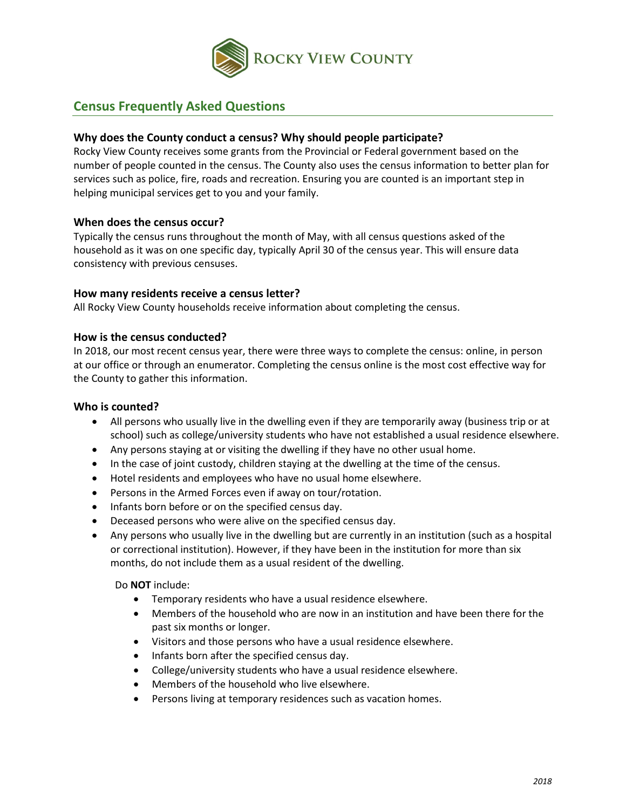

# **Census Frequently Asked Questions**

## **Why does the County conduct a census? Why should people participate?**

Rocky View County receives some grants from the Provincial or Federal government based on the number of people counted in the census. The County also uses the census information to better plan for services such as police, fire, roads and recreation. Ensuring you are counted is an important step in helping municipal services get to you and your family.

#### **When does the census occur?**

Typically the census runs throughout the month of May, with all census questions asked of the household as it was on one specific day, typically April 30 of the census year. This will ensure data consistency with previous censuses.

#### **How many residents receive a census letter?**

All Rocky View County households receive information about completing the census.

#### **How is the census conducted?**

In 2018, our most recent census year, there were three ways to complete the census: online, in person at our office or through an enumerator. Completing the census online is the most cost effective way for the County to gather this information.

#### **Who is counted?**

- All persons who usually live in the dwelling even if they are temporarily away (business trip or at school) such as college/university students who have not established a usual residence elsewhere.
- Any persons staying at or visiting the dwelling if they have no other usual home.
- In the case of joint custody, children staying at the dwelling at the time of the census.
- Hotel residents and employees who have no usual home elsewhere.
- Persons in the Armed Forces even if away on tour/rotation.
- Infants born before or on the specified census day.
- Deceased persons who were alive on the specified census day.
- Any persons who usually live in the dwelling but are currently in an institution (such as a hospital or correctional institution). However, if they have been in the institution for more than six months, do not include them as a usual resident of the dwelling.

Do **NOT** include:

- Temporary residents who have a usual residence elsewhere.
- Members of the household who are now in an institution and have been there for the past six months or longer.
- Visitors and those persons who have a usual residence elsewhere.
- Infants born after the specified census day.
- College/university students who have a usual residence elsewhere.
- Members of the household who live elsewhere.
- Persons living at temporary residences such as vacation homes.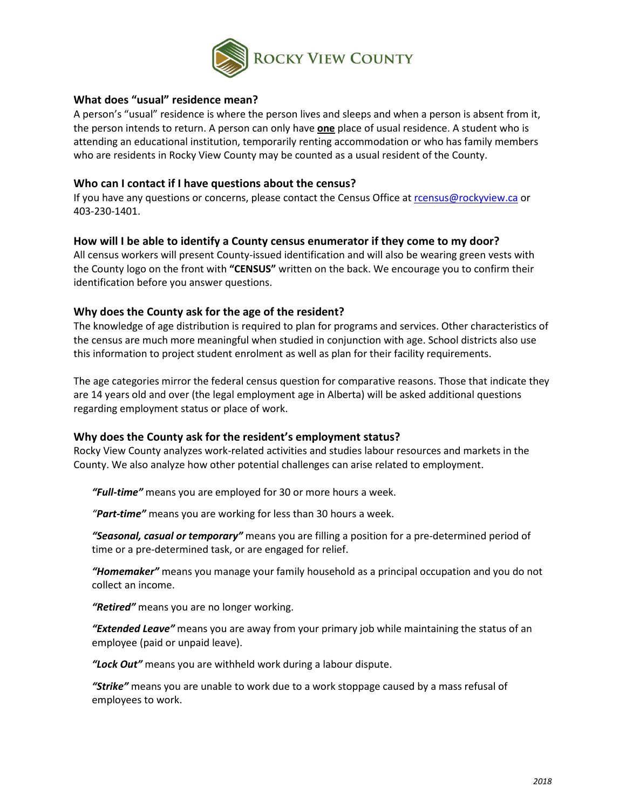

### **What does "usual" residence mean?**

A person's "usual" residence is where the person lives and sleeps and when a person is absent from it, the person intends to return. A person can only have **one** place of usual residence. A student who is attending an educational institution, temporarily renting accommodation or who has family members who are residents in Rocky View County may be counted as a usual resident of the County.

## **Who can I contact if I have questions about the census?**

If you have any questions or concerns, please contact the Census Office at [rcensus@rockyview.ca](mailto:rcensus@rockyview.ca) or 403-230-1401.

## **How will I be able to identify a County census enumerator if they come to my door?**

All census workers will present County-issued identification and will also be wearing green vests with the County logo on the front with **"CENSUS"** written on the back. We encourage you to confirm their identification before you answer questions.

# **Why does the County ask for the age of the resident?**

The knowledge of age distribution is required to plan for programs and services. Other characteristics of the census are much more meaningful when studied in conjunction with age. School districts also use this information to project student enrolment as well as plan for their facility requirements.

The age categories mirror the federal census question for comparative reasons. Those that indicate they are 14 years old and over (the legal employment age in Alberta) will be asked additional questions regarding employment status or place of work.

# **Why does the County ask for the resident's employment status?**

Rocky View County analyzes work-related activities and studies labour resources and markets in the County. We also analyze how other potential challenges can arise related to employment.

*"Full-time"* means you are employed for 30 or more hours a week.

*"Part-time"* means you are working for less than 30 hours a week.

*"Seasonal, casual or temporary"* means you are filling a position for a pre-determined period of time or a pre-determined task, or are engaged for relief.

*"Homemaker"* means you manage your family household as a principal occupation and you do not collect an income.

*"Retired"* means you are no longer working.

*"Extended Leave"* means you are away from your primary job while maintaining the status of an employee (paid or unpaid leave).

*"Lock Out"* means you are withheld work during a labour dispute.

*"Strike"* means you are unable to work due to a work stoppage caused by a mass refusal of employees to work.